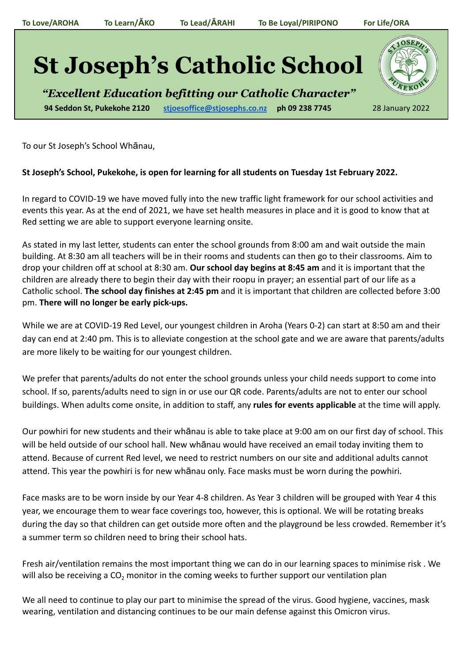## **St Joseph's Catholic School**

*"Excellent Education befitting our Catholic Character"* **94 Seddon St, Pukekohe 2120 [stjoesoffice@stjosephs.co.nz](mailto:stjoesoffice@stjosephs.co.nz) ph 09 238 7745** 28 January 2022



To our St Joseph's School Whānau,

## **St Joseph's School, Pukekohe, is open for learning for all students on Tuesday 1st February 2022.**

In regard to COVID-19 we have moved fully into the new traffic light framework for our school activities and events this year. As at the end of 2021, we have set health measures in place and it is good to know that at Red setting we are able to support everyone learning onsite.

As stated in my last letter, students can enter the school grounds from 8:00 am and wait outside the main building. At 8:30 am all teachers will be in their rooms and students can then go to their classrooms. Aim to drop your children off at school at 8:30 am. **Our school day begins at 8:45 am** and it is important that the children are already there to begin their day with their roopu in prayer; an essential part of our life as a Catholic school. **The school day finishes at 2:45 pm** and it is important that children are collected before 3:00 pm. **There will no longer be early pick-ups.**

While we are at COVID-19 Red Level, our youngest children in Aroha (Years 0-2) can start at 8:50 am and their day can end at 2:40 pm. This is to alleviate congestion at the school gate and we are aware that parents/adults are more likely to be waiting for our youngest children.

We prefer that parents/adults do not enter the school grounds unless your child needs support to come into school. If so, parents/adults need to sign in or use our QR code. Parents/adults are not to enter our school buildings. When adults come onsite, in addition to staff, any **rules for events applicable** at the time will apply.

Our powhiri for new students and their whānau is able to take place at 9:00 am on our first day of school. This will be held outside of our school hall. New whānau would have received an email today inviting them to attend. Because of current Red level, we need to restrict numbers on our site and additional adults cannot attend. This year the powhiri is for new whānau only. Face masks must be worn during the powhiri.

Face masks are to be worn inside by our Year 4-8 children. As Year 3 children will be grouped with Year 4 this year, we encourage them to wear face coverings too, however, this is optional. We will be rotating breaks during the day so that children can get outside more often and the playground be less crowded. Remember it's a summer term so children need to bring their school hats.

Fresh air/ventilation remains the most important thing we can do in our learning spaces to minimise risk . We will also be receiving a CO<sub>2</sub> monitor in the coming weeks to further support our ventilation plan

We all need to continue to play our part to minimise the spread of the virus. Good hygiene, vaccines, mask wearing, ventilation and distancing continues to be our main defense against this Omicron virus.